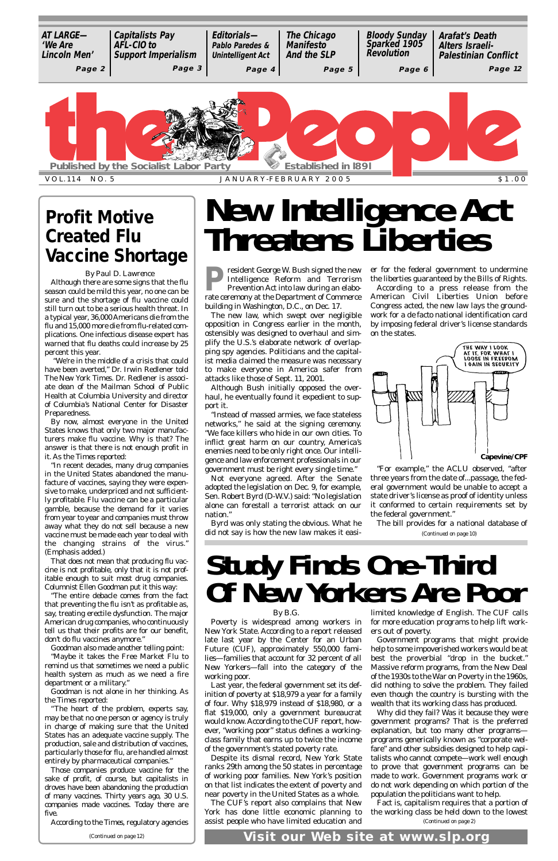**President George W. Bush signed the new Intelligence Reform and Terrorism<br>Prevention Act into law during an elabo-<br>nets suggestive the Department of Commons** Intelligence Reform and Terrorism Prevention Act into law during an elaborate ceremony at the Department of Commerce building in Washington, D.C., on Dec. 17.

The new law, which swept over negligible opposition in Congress earlier in the month, ostensibly was designed to overhaul and simplify the U.S.'s elaborate network of overlapping spy agencies. Politicians and the capitalist media claimed the measure was necessary to make everyone in America safer from attacks like those of Sept. 11, 2001.

Although Bush initially opposed the overhaul, he eventually found it expedient to support it.

"Instead of massed armies, we face stateless networks," he said at the signing ceremony. "We face killers who hide in our own cities. To inflict great harm on our country, America's enemies need to be only right once. Our intelligence and law enforcement professionals in our government must be right every single time."

Not everyone agreed. After the Senate adopted the legislation on Dec. 9, for example, Sen. Robert Byrd (D-W.V.) said: "No legislation alone can forestall a terrorist attack on our nation."

Byrd was only stating the obvious. What he did not say is how the new law makes it easier for the federal government to undermine the liberties guaranteed by the Bills of Rights.

According to a press release from the American Civil Liberties Union before Congress acted, the new law lays the groundwork for a *de facto* national identification card by imposing federal driver's license standards on the states.

"For example," the ACLU observed, "after three years from the date of...passage, the federal government would be unable to accept a state driver's license as proof of identity unless it conformed to certain requirements set by the federal government."

# **New Intelligence Act Threatens Liberties**

*By Paul D. Lawrence* Although there are some signs that the flu season could be mild this year, no one can be sure and the shortage of flu vaccine could still turn out to be a serious health threat. In a typical year, 36,000 Americans die from the flu and 15,000 more die from flu-related complications. One infectious disease expert has warned that flu deaths could increase by 25 percent this year.

"We're in the middle of a crisis that could have been averted," Dr. Irwin Redlener told *The New York Times*. Dr. Redlener is associate dean of the Mailman School of Public Health at Columbia University and director of Columbia's National Center for Disaster Preparedness.

By now, almost everyone in the United States knows that only two major manufacturers make flu vaccine. Why is that? The answer is that there is not enough profit in it. As the *Times* reported:

"In recent decades, many drug companies in the United States abandoned the manufacture of vaccines, saying they were expensive to make, underpriced and not *sufficiently profitable*. Flu vaccine can be a particular gamble, because the demand for it varies from year to year and companies must throw away what they do not sell because a new vaccine must be made each year to deal with the changing strains of the virus." (Emphasis added.)

That does not mean that producing flu vaccine is not profitable, only that it is not profitable enough to suit most drug companies. Columnist Ellen Goodman put it this way:

"The entire debacle comes from the fact that preventing the flu isn't as profitable as, say, treating erectile dysfunction. The major American drug companies, who continuously tell us that their profits are for our benefit, don't do flu vaccines anymore."

Goodman also made another telling point:

"Maybe it takes the Free Market Flu to remind us that sometimes we need a public health system as much as we need a fire department or a military."

Goodman is not alone in her thinking. As the *Times* reported:

"The heart of the problem, experts say, may be that no one person or agency is truly in charge of making sure that the United States has an adequate vaccine supply. The production, sale and distribution of vaccines, particularly those for flu, are handled almost entirely by pharmaceutical companies."

The bill provides for a national database of *(Continued on page 10)*

Those companies produce vaccine for the sake of profit, of course, but capitalists in droves have been abandoning the production of many vaccines. Thirty years ago, 30 U.S. companies made vaccines. Today there are five.



According to the *Times*, regulatory agencies

## **Profit Motive Created Flu Vaccine Shortage**

# **Study Finds One-Third Of New Yorkers Are Poor**

#### *By B.G.*

New York State. According to a report released ers out of poverty. late last year by the Center for an Urban Future (CUF), approximately 550,000 families—families that account for 32 percent of all New Yorkers—fall into the category of the working poor. Last year, the federal government set its definition of poverty at \$18,979 a year for a family of four. Why \$18,979 instead of \$18,980, or a flat \$19,000, only a government bureaucrat would know. According to the CUF report, however, "working poor" status defines a workingclass family that earns up to twice the income of the government's stated poverty rate. Despite its dismal record, New York State ranks 29th among the 50 states in percentage of working poor families. New York's position on that list indicates the extent of poverty and near poverty in the United States as a whole.

Poverty is widespread among workers in for more education programs to help lift worklimited knowledge of English. The CUF calls

The CUF's report also complains that New York has done little economic planning to assist people who have limited education and

Government programs that might provide help to some impoverished workers would be at best the proverbial "drop in the bucket." Massive reform programs, from the New Deal of the 1930s to the War on Poverty in the 1960s, did nothing to solve the problem. They failed even though the country is bursting with the wealth that its working class has produced.

Why did they fail? Was it because they were government programs? That is the preferred explanation, but too many other programs programs generically known as "corporate welfare" and other subsidies designed to help capitalists who cannot compete—work well enough to prove that government programs can be made to work. Government programs work or do not work depending on which portion of the population the politicians want to help.

Fact is, capitalism requires that a portion of the working class be held down to the lowest

*(Continued on page 2)*

*(Continued on page 12)* **Visit our Web site at www.slp.org**

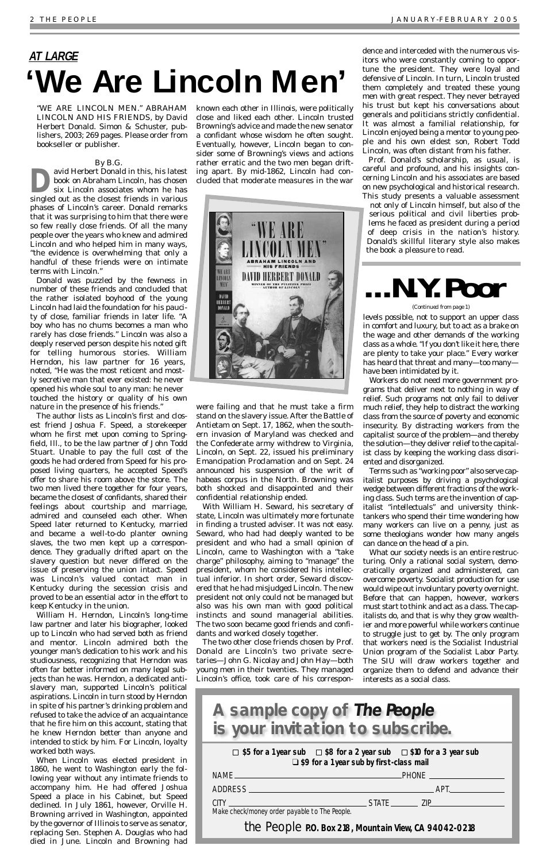LINCOLN AND HIS FRIENDS, by David Herbert Donald. Simon & Schuster, publishers, 2003; 269 pages. Please order from bookseller or publisher.

#### *By B.G.*

**D**<br>avid Herbert Donald in this, his latest<br>six Lincoln associates whom he has<br>six Lincoln associates whom he has book on Abraham Lincoln, has chosen singled out as the closest friends in various phases of Lincoln's career. Donald remarks that it was surprising to him that there were so few really close friends. Of all the many people over the years who knew and admired Lincoln and who helped him in many ways, "the evidence is overwhelming that only a handful of these friends were on intimate terms with Lincoln."

Donald was puzzled by the fewness in number of these friends and concluded that the rather isolated boyhood of the young Lincoln had laid the foundation for his paucity of close, familiar friends in later life. "A boy who has no chums becomes a man who rarely has close friends." Lincoln was also a deeply reserved person despite his noted gift for telling humorous stories. William Herndon, his law partner for 16 years, noted, "He was the most reticent and mostly secretive man that ever existed: he never opened his whole soul to any man: he never touched the history or quality of his own nature in the presence of his friends."

The author lists as Lincoln's first and closest friend Joshua F. Speed, a storekeeper whom he first met upon coming to Springfield, Ill., to be the law partner of John Todd Stuart. Unable to pay the full cost of the goods he had ordered from Speed for his proposed living quarters, he accepted Speed's offer to share his room above the store. The two men lived there together for four years, became the closest of confidants, shared their feelings about courtship and marriage, admired and counseled each other. When Speed later returned to Kentucky, married and became a well-to-do planter owning slaves, the two men kept up a correspondence. They gradually drifted apart on the slavery question but never differed on the issue of preserving the union intact. Speed was Lincoln's valued contact man in Kentucky during the secession crisis and proved to be an essential actor in the effort to keep Kentucky in the union.

"WE ARE LINCOLN MEN." ABRAHAM known each other in Illinois, were politically close and liked each other. Lincoln trusted Browning's advice and made the new senator a confidant whose wisdom he often sought. Eventually, however, Lincoln began to consider some of Browning's views and actions rather erratic and the two men began drifting apart. By mid-1862, Lincoln had concluded that moderate measures in the war



William H. Herndon, Lincoln's long-time law partner and later his biographer, looked up to Lincoln who had served both as friend and mentor. Lincoln admired both the younger man's dedication to his work and his studiousness, recognizing that Herndon was often far better informed on many legal subjects than he was. Herndon, a dedicated antislavery man, supported Lincoln's political aspirations. Lincoln in turn stood by Herndon in spite of his partner's drinking problem and refused to take the advice of an acquaintance that he fire him on this account, stating that he knew Herndon better than anyone and intended to stick by him. For Lincoln, loyalty worked both ways. When Lincoln was elected president in 1860, he went to Washington early the following year without any intimate friends to accompany him. He had offered Joshua Speed a place in his Cabinet, but Speed declined. In July 1861, however, Orville H. Browning arrived in Washington, appointed by the governor of Illinois to serve as senator, replacing Sen. Stephen A. Douglas who had died in June. Lincoln and Browning had

were failing and that he must take a firm stand on the slavery issue. After the Battle of Antietam on Sept. 17, 1862, when the southern invasion of Maryland was checked and the Confederate army withdrew to Virginia, Lincoln, on Sept. 22, issued his preliminary Emancipation Proclamation and on Sept. 24 announced his suspension of the writ of habeas corpus in the North. Browning was both shocked and disappointed and their confidential relationship ended.

With William H. Seward, his secretary of state, Lincoln was ultimately more fortunate in finding a trusted adviser. It was not easy. Seward, who had had deeply wanted to be president and who had a small opinion of Lincoln, came to Washington with a "take charge" philosophy, aiming to "manage" the president, whom he considered his intellectual inferior. In short order, Seward discovered that he had misjudged Lincoln. The new president not only could not be managed but also was his own man with good political instincts and sound managerial abilities. The two soon became good friends and confi-

dants and worked closely together.

The two other close friends chosen by Prof. Donald are Lincoln's two private secretaries—John G. Nicolay and John Hay—both young men in their twenties. They managed Lincoln's office, took care of his correspon-

dence and interceded with the numerous visitors who were constantly coming to opportune the president. They were loyal and defensive of Lincoln. In turn, Lincoln trusted them completely and treated these young men with great respect. They never betrayed his trust but kept his conversations about generals and politicians strictly confidential. It was almost a familial relationship, for Lincoln enjoyed being a mentor to young people and his own eldest son, Robert Todd Lincoln, was often distant from his father.

Prof. Donald's scholarship, as usual, is careful and profound, and his insights concerning Lincoln and his associates are based on new psychological and historical research. This study presents a valuable assessment

not only of Lincoln himself, but also of the serious political and civil liberties problems he faced as president during a period of deep crisis in the nation's history. Donald's skillful literary style also makes the book a pleasure to read.

## .N.Y. Poor

levels possible, not to support an upper class in comfort and luxury, but to act as a brake on the wage and other demands of the working class as a whole. "If you don't like it here, there are plenty to take your place." Every worker has heard that threat and many—too many have been intimidated by it.

Workers do not need more government programs that deliver next to nothing in way of relief. Such programs not only fail to deliver much relief, they help to distract the working class from the source of poverty and economic insecurity. By distracting workers from the capitalist source of the problem—and thereby the solution—they deliver relief to the capitalist class by keeping the working class disoriented and disorganized.

Terms such as "working poor" also serve capitalist purposes by driving a psychological wedge between different fractions of the working class. Such terms are the invention of capitalist "intellectuals" and university thinktankers who spend their time wondering how many workers can live on a penny, just as some theologians wonder how many angels can dance on the head of a pin.

What our society needs is an entire restructuring. Only a rational social system, democratically organized and administered, can overcome poverty. Socialist production for use would wipe out involuntary poverty overnight. Before that can happen, however, workers must start to think and act as a class. The capitalists do, and that is why they grow wealthier and more powerful while workers continue to struggle just to get by. The only program that workers need is the Socialist Industrial Union program of the Socialist Labor Party. The SIU will draw workers together and organize them to defend and advance their interests as a social class.

## **AT LARGE 'We Are Lincoln Men'**

| A sample copy of The People<br>is your invitation to subscribe.                                                                         |  |  |
|-----------------------------------------------------------------------------------------------------------------------------------------|--|--|
|                                                                                                                                         |  |  |
| $\Box$ \$5 for a 1 year sub $\Box$ \$8 for a 2 year sub $\Box$ \$10 for a 3 year sub<br>$\Box$ \$9 for a 1 year sub by first-class mail |  |  |
| $NAME$ $\_\_$<br>PHONE                                                                                                                  |  |  |
| ADDRESS_                                                                                                                                |  |  |
| __ STATE _______ ZIP____<br>CITY <b>CITY</b><br>Make check/money order payable to The People.                                           |  |  |
| the People P.O. Box 218, Mountain View, CA 94042-0218                                                                                   |  |  |

#### *(Continued from page 1)*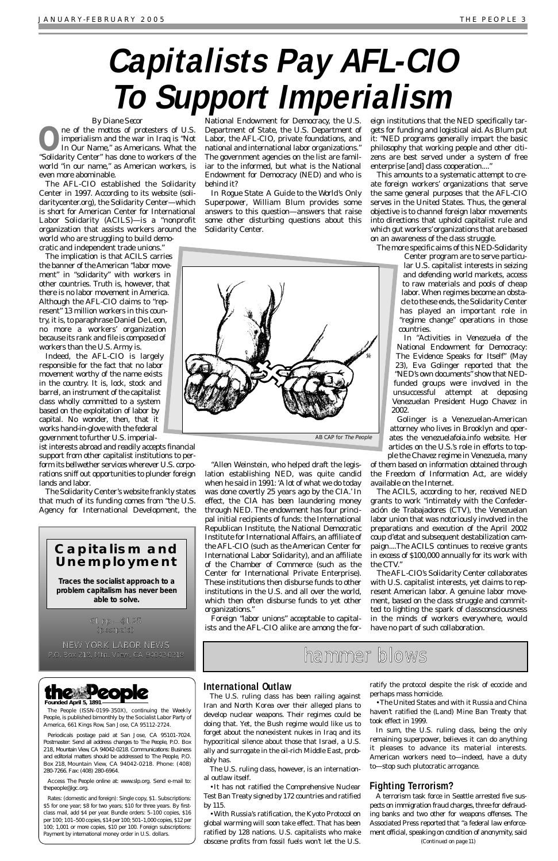#### **International Outlaw**

The U.S. ruling class has been railing against Iran and North Korea over their alleged plans to develop nuclear weapons. Their regimes could be doing that. Yet, the Bush regime would like us to forget about the nonexistent nukes in Iraq and its hypocritical silence about those that Israel, a U.S. ally and surrogate in the oil-rich Middle East, probably has.

The U.S. ruling class, however, is an international outlaw itself.

•It has not ratified the Comprehensive Nuclear Test Ban Treaty signed by 172 countries and ratified by 115.

•With Russia's ratification, the Kyoto Protocol on global warming will soon take effect. That has been ratified by 128 nations. U.S. capitalists who make obscene profits from fossil fuels won't let the U.S.

ratify the protocol despite the risk of ecocide and perhaps mass homicide.

**O**ne of the mottos of protesters of U.S.<br>
In Our Name," as Americans. What the<br>
"Salidarity Gurtar" has drug to produce of the imperialism and the war in Iraq is "Not "Solidarity Center" has done to workers of the world "in our name," as American *workers*, is even more abominable.

> •The United States and with it Russia and China haven't ratified the (Land) Mine Ban Treaty that took effect in 1999.

> In sum, the U.S. ruling class, being the only remaining superpower, believes it can do anything it pleases to advance its material interests. American workers need to—indeed, have a duty to—stop such plutocratic arrogance.

#### **Fighting Terrorism?**

A terrorism task force in Seattle arrested five suspects on immigration fraud charges, three for defrauding banks and two other for weapons offenses. The Associated Press reported that "a federal law enforcement official, speaking on condition of anonymity, said

#### *By Diane Secor*

The AFL-CIO established the Solidarity Center in 1997. According to its website (solidaritycenter.org), the Solidarity Center—which is short for American Center for International Labor Solidarity (ACILS)—is a "nonprofit organization that assists workers around the world who are struggling to build democratic and independent trade unions."

The implication is that ACILS carries the banner of the American "labor movement" in "solidarity" with workers in other countries. Truth is, however, that there is no labor movement in America. Although the AFL-CIO claims to "represent" 13 million workers in this country, it is, to paraphrase Daniel De Leon, no more a workers' organization because its rank and file is composed of workers than the U.S. Army is.

Indeed, the AFL-CIO is largely responsible for the fact that no labor movement worthy of the name exists in the country. It is, lock, stock and barrel, an instrument of the capitalist class wholly committed to a system based on the exploitation of labor by capital. No wonder, then, that it works hand-in-glove with the federal government to further U.S. imperial-

ist interests abroad and readily accepts financial support from other capitalist institutions to perform its bellwether services wherever U.S. corporations sniff out opportunities to plunder foreign lands and labor.

The Solidarity Center's website frankly states that much of its funding comes from "the U.S. Agency for International Development, the

National Endowment for Democracy, the U.S. Department of State, the U.S. Department of Labor, the AFL-CIO, private foundations, and national and international labor organizations." The government agencies on the list are familiar to the informed, but what is the National Endowment for Democracy (NED) and who is behind it?

In *Rogue State: A Guide to the World's Only Superpower*, William Blum provides some answers to this question—answers that raise some other disturbing questions about this Solidarity Center.

"Allen Weinstein, who helped draft the legislation establishing NED, was quite candid when he said in 1991: 'A lot of what we do today was done covertly 25 years ago by the CIA.' In effect, the CIA has been laundering money through NED. The endowment has four principal initial recipients of funds: the International Republican Institute, the National Democratic Institute for International Affairs, an affiliate of the AFL-CIO (such as the American Center for International Labor Solidarity), and an affiliate of the Chamber of Commerce (such as the Center for International Private Enterprise). These institutions then disburse funds to other institutions in the U.S. and all over the world, which then often disburse funds to yet other organizations."

Foreign "labor unions" acceptable to capitalists and the AFL-CIO alike are among the foreign institutions that the NED specifically targets for funding and logistical aid. As Blum put it: "NED programs generally impart the basic philosophy that working people and other citizens are best served under a system of free enterprise [and] class cooperation...."

This amounts to a systematic attempt to create foreign workers' organizations that serve the same general purposes that the AFL-CIO serves in the United States. Thus, the general objective is to channel foreign labor movements into directions that uphold capitalist rule and which gut workers'organizations that are based on an awareness of the class struggle.

The more specific aims of this NED-Solidarity

Center program are to serve particular U.S. capitalist interests in seizing and defending world markets, access to raw materials and pools of cheap labor. When regimes become an obstacle to these ends, the Solidarity Center has played an important role in "regime change" operations in those countries.

In "Activities in Venezuela of the National Endowment for Democracy: The Evidence Speaks for Itself" (May 23), Eva Golinger reported that the "NED's own documents" show that NEDfunded groups were involved in the unsuccessful attempt at deposing Venezuelan President Hugo Chavez in 2002.

Golinger is a Venezuelan-American attorney who lives in Brooklyn and operates the venezuelafoia.info website. Her articles on the U.S.'s role in efforts to topple the Chavez regime in Venezuela, many

of them based on information obtained through the Freedom of Information Act, are widely available on the Internet.

The ACILS, according to her, received NED grants to work "intimately with the Confederación de Trabajadores (CTV), the Venezuelan labor union that was notoriously involved in the preparations and execution of the April 2002 *coup d'etat* and subsequent destabilization campaign....The ACILS continues to receive grants in excess of \$100,000 annually for its work with the CTV."

The AFL-CIO's Solidarity Center collaborates with U.S. capitalist interests, yet claims to represent American labor. A genuine labor movement, based on the class struggle and committed to lighting the spark of classconsciousness in the minds of workers everywhere, would have no part of such collaboration.

# **Capitalists Pay AFL-CIO To Support Imperialism**



*The People* (ISSN-0199-350X), continuing the *Weekly People*, is published bimonthly by the Socialist Labor Party of America, 661 Kings Row, San Jose, CA 95112-2724.

Periodicals postage paid at San Jose, CA 95101-7024. Postmaster: Send all address changes to *The People*, P.O. Box 218, Mountain View, CA 94042-0218. Communications: Business and editorial matters should be addressed to *The People*, P.O. Box 218, Mountain View, CA 94042-0218. Phone: (408) 280-7266. Fax: (408) 280-6964.

Access *The People* online at: www.slp.org. Send e-mail to: thepeople@igc.org.

Rates: (domestic and foreign): Single copy, \$1. Subscriptions: \$5 for one year; \$8 for two years; \$10 for three years. By firstclass mail, add \$4 per year. Bundle orders: 5–100 copies, \$16 per 100; 101–500 copies, \$14 per 100; 501–1,000 copies, \$12 per 100; 1,001 or more copies, \$10 per 100. Foreign subscriptions: Payment by international money order in U.S. dollars.



#### NEW YORK LABOR NEWS P.O. Box 218, Mtn. View, CA 94042-0218



### hammer blows

*(Continued on page 11)*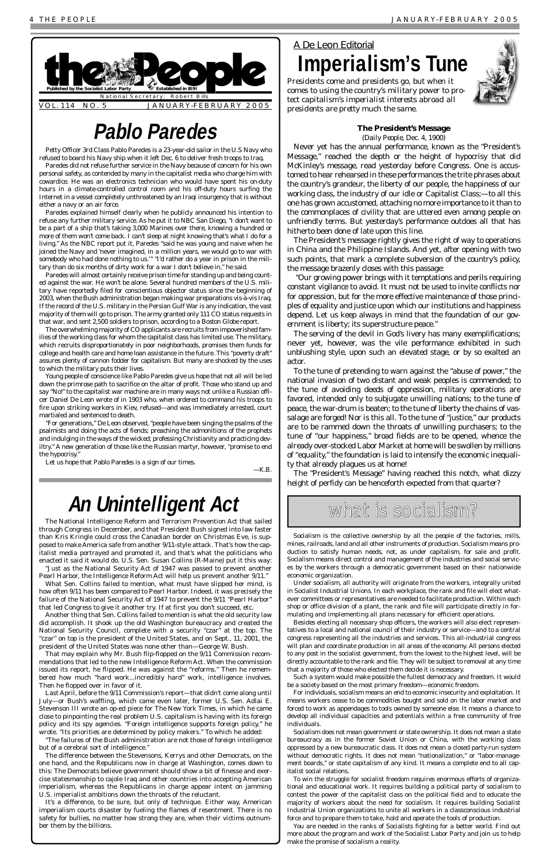Petty Officer 3rd Class Pablo Paredes is a 23-year-old sailor in the U.S Navy who refused to board his Navy ship when it left Dec. 6 to deliver fresh troops to Iraq.

Paredes did not refuse further service in the Navy because of concern for his own personal safety, as contended by many in the capitalist media who charge him with cowardice. He was an electronics technician who would have spent his on-duty hours in a climate-controlled control room and his off-duty hours surfing the Internet in a vessel completely unthreatened by an Iraqi insurgency that is without either a navy or an air force.

Paredes explained himself clearly when he publicly announced his intention to refuse any further military service. As he put it to NBC San Diego, "I don't want to be a part of a ship that's taking 3,000 Marines over there, knowing a hundred or more of them won't come back. I can't sleep at night knowing that's what I do for a living." As the NBC report put it, Paredes "said he was young and naive when he joined the Navy and 'never imagined, in a million years, we would go to war with somebody who had done nothing to us.'" "I'd rather do a year in prison in the military than do six months of dirty work for a war I don't believe in," he said.

Paredes will almost certainly receive prison time for standing up and being counted against the war. He won't be alone. Several hundred members of the U.S. military have reportedly filed for conscientious objector status since the beginning of 2003, when the Bush administration began making war preparations vis-à-vis Iraq. If the record of the U.S. military in the Persian Gulf War is any indication, the vast majority of them will go to prison. The army granted only 111 CO status requests in that war, and sent 2,500 soldiers to prison, according to a *Boston Globe* report.

The overwhelming majority of CO applicants are recruits from impoverished families of the working class for whom the capitalist class has limited use. The military, which recruits disproportionately in poor neighborhoods, promises them funds for college and health care and home loan assistance in the future. This "poverty draft" assures plenty of cannon fodder for capitalism. But many are shocked by the uses to which the military puts their lives.

Young people of conscience like Pablo Paredes give us hope that not all will be led down the primrose path to sacrifice on the altar of profit. Those who stand up and say "No!" to the capitalist war machine are in many ways not unlike a Russian officer Daniel De Leon wrote of in 1903 who, when ordered to command his troops to fire upon striking workers in Kiev, refused—and was immediately arrested, court martialed and sentenced to death.



"For generations," De Leon observed, "people have been singing the psalms of the psalmists and doing the acts of fiends; preaching the admonitions of the prophets and indulging in the ways of the wicked; professing Christianity and practicing deviltry." A new generation of those like the Russian martyr, however, "promise to end the hypocrisy."

Let us hope that Pablo Paredes is a sign of our times.

*—K.B.*

#### **The President's Message** (*Daily People,* Dec. 4, 1900)

Never yet has the annual performance, known as the "President's Message," reached the depth or the height of hypocrisy that did McKinley's message, read yesterday before Congress. One is accustomed to hear rehearsed in these performances the trite phrases about the country's grandeur, the liberty of our people, the happiness of our working class, the industry of our idle or Capitalist Class;—to all this one has grown accustomed, attaching no more importance to it than to the commonplaces of civility that are uttered even among people on unfriendly terms. But yesterday's performance outdoes all that has hitherto been done of late upon this line.

The President's message rightly gives the right of way to operations in China and the Philippine Islands. And yet, after opening with two such points, that mark a complete subversion of the country's policy, the message brazenly closes with this passage:

"Our growing power brings with it temptations and perils requiring constant vigilance to avoid. It must not be used to invite conflicts nor for oppression, but for the more effective maintenance of those principles of equality and justice upon which our institutions and happiness depend. Let us keep always in mind that the foundation of our government is liberty; its superstructure peace."

The serving of the devil in God's livery has many exemplifications; never yet, however, was the vile performance exhibited in such unblushing style, upon such an elevated stage, or by so exalted an actor.

To the tune of pretending to warn against the "abuse of power," the national invasion of two distant and weak peoples is commended; to the tune of avoiding deeds of oppression, military operations are favored, intended only to subjugate unwilling nations; to the tune of peace, the war-drum is beaten; to the tune of liberty the chains of vassalage are forged! Nor is this all. To the tune of "justice," our products are to be rammed down the throats of unwilling purchasers; to the tune of "our happiness," broad fields are to be opened, whence the already over-stocked Labor Market at home will be swollen by millions of "equality," the foundation is laid to intensify the economic inequality that already plagues us at home!

The "President's Message" having reached this notch, what dizzy height of perfidy can be henceforth expected from that quarter?

## what is socialism?

## **Pablo Paredes**

#### *A De Leon Editorial*

**Imperialism's Tune**



*Presidents come and presidents go, but when it comes to using the country's military power to protect capitalism's imperialist interests abroad all presidents are pretty much the same.*

Socialism is the collective ownership by all the people of the factories, mills, mines, railroads, land and all other instruments of production. Socialism means production to satisfy human needs, not, as under capitalism, for sale and profit. Socialism means direct control and management of the industries and social services by the workers through a democratic government based on their nationwide economic organization.

Under socialism, all authority will originate from the workers, integrally united in Socialist Industrial Unions. In each workplace, the rank and file will elect whatever committees or representatives are needed to facilitate production. Within each shop or office division of a plant, the rank and file will participate directly in formulating and implementing all plans necessary for efficient operations.

Besides electing all necessary shop officers, the workers will also elect representatives to a local and national council of their industry or service—and to a central

congress representing all the industries and services. This all-industrial congress will plan and coordinate production in all areas of the economy. All persons elected to any post in the socialist government, from the lowest to the highest level, will be directly accountable to the rank and file. They will be subject to removal at any time that a majority of those who elected them decide it is necessary.

Such a system would make possible the fullest democracy and freedom. It would be a society based on the most primary freedom—economic freedom.

For individuals, socialism means an end to economic insecurity and exploitation. It means workers cease to be commodities bought and sold on the labor market and forced to work as appendages to tools owned by someone else. It means a chance to develop all individual capacities and potentials within a free community of free individuals.

Socialism does not mean government or state ownership. It does not mean a state bureaucracy as in the former Soviet Union or China, with the working class oppressed by a new bureaucratic class. It does not mean a closed party-run system without democratic rights. It does not mean "nationalization," or "labor-management boards," or state capitalism of any kind. It means a complete end to all capitalist social relations.

To win the struggle for socialist freedom requires enormous efforts of organizational and educational work. It requires building a political party of socialism to contest the power of the capitalist class on the political field and to educate the majority of workers about the need for socialism. It requires building Socialist Industrial Union organizations to unite all workers in a classconscious industrial force and to prepare them to take, hold and operate the tools of production.

You are needed in the ranks of Socialists fighting for a better world. Find out more about the program and work of the Socialist Labor Party and join us to help make the promise of socialism a reality.

The National Intelligence Reform and Terrorism Prevention Act that sailed through Congress in December, and that President Bush signed into law faster than Kris Kringle could cross the Canadian border on Christmas Eve, is supposed to make America safe from another 9/11-style attack. That's how the capitalist media portrayed and promoted it, and that's what the politicians who enacted it said it would do. U.S. Sen. Susan Collins (R-Maine) put it this way:

"Just as the National Security Act of 1947 was passed to prevent another Pearl Harbor, the Intelligence Reform Act will help us prevent another 9/11."

What Sen. Collins failed to mention, what must have slipped her mind, is how often 9/11 has been compared to Pearl Harbor. Indeed, it was precisely the failure of the National Security Act of 1947 to prevent the 9/11 "Pearl Harbor" that led Congress to give it another try. If at first you don't succeed, etc.

Another thing that Sen. Collins failed to mention is what the old security law did accomplish. It shook up the old Washington bureaucracy and created the National Security Council, complete with a security "czar" at the top. The "czar" on top is the president of the United States, and on Sept., 11, 2001, the president of the United States was none other than—George W. Bush. That may explain why Mr. Bush flip-flopped on the 9/11 Commission recommendations that led to the new Intelligence Reform Act. When the commission issued its report, he flipped. He was against the "reforms." Then he remembered how much "hard work...incredibly hard" work, intelligence involves. Then he flopped over in favor of it. Last April, before the 9/11 Commission's report—that didn't come along until July—or Bush's waffling, which came even later, former U.S. Sen. Adlai E. Stevenson III wrote an op-ed piece for *The New York Times*, in which he came close to pinpointing the real problem U.S. capitalism is having with its foreign policy and its spy agencies. "Foreign intelligence supports foreign policy," he wrote. "Its priorities are determined by policy makers." To which he added: "The failures of the Bush administration are not those of foreign intelligence but of a cerebral sort of intelligence." The difference between the Stevensons, Kerrys and other Democrats, on the one hand, and the Republicans now in charge at Washington, comes down to this: The Democrats believe government should show a bit of finesse and exercise statesmanship to cajole Iraq and other countries into accepting American imperialism, whereas the Republicans in charge appear intent on jamming U.S. imperialist ambitions down the throats of the reluctant.

It's a difference, to be sure, but only of technique. Either way, American imperialism courts disaster by fueling the flames of resentment. There is no safety for bullies, no matter how strong they are, when their victims outnumber them by the billions.

## **An Unintelligent Act**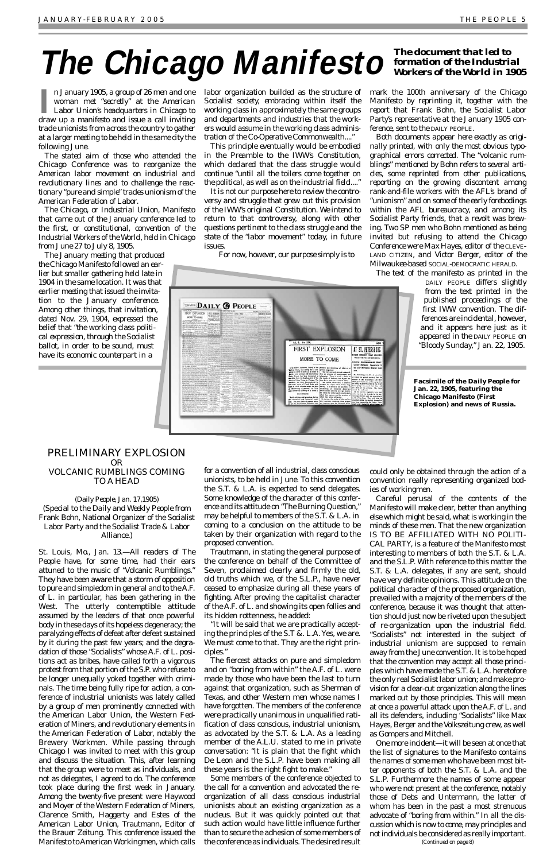*I I Manuary 1905, a group of 26 men and one*<br>*I Labor Union's headquarters in Chicago to woman met "secretly" at the American Labor Union's headquarters in Chicago to draw up a manifesto and issue a call inviting trade unionists from across the country to gather at a larger meeting to be held in the same city the following June.* 

*The stated aim of those who attended the Chicago Conference was to reorganize the American labor movement on industrial and revolutionary lines and to challenge the reactionary "pure and simple" trades unionism of the American Federation of Labor.* 

*The Chicago, or Industrial Union, Manifesto that came out of the January conference led to the first, or constitutional, convention of the Industrial Workers of the World, held in Chicago from June 27 to July 8, 1905.* 

*The January meeting that produced the Chicago Manifesto followed an earlier but smaller gathering held late in 1904 in the same location. It was that earlier meeting that issued the invitation to the January conference. Among other things, that invitation, dated Nov. 29, 1904, expressed the belief that "the working class political expression, through the Socialist ballot, in order to be sound, must have its economic counterpart in a*

*labor organization builded as the structure of Socialist society, embracing within itself the working class in approximately the same groups and departments and industries that the workers would assume in the working class administration of the Co-Operative Commonwealth...."* 

*This principle eventually would be embodied in the Preamble to the IWW's Constitution, which declared that the class struggle would continue "until all the toilers come together on the political, as well as on the industrial field...."* 

*It is not our purpose here to review the controversy and struggle that grew out this provision of the IWW's original Constitution. We intend to return to that controversy, along with other questions pertinent to the class struggle and the state of the "labor movement" today, in future issues.* 

*For now, however, our purpose simply is to* 



*mark the 100th anniversary of the Chicago Manifesto by reprinting it, together with the report that Frank Bohn, the Socialist Labor Party's representative at the January 1905 conference, sent to the DAILY PEOPLE.* 

*Both documents appear here exactly as originally printed, with only the most obvious typographical errors corrected. The "volcanic rumblings" mentioned by Bohn refers to several articles, some reprinted from other publications, reporting on the growing discontent among rank-and-file workers with the AFL's brand of "unionism" and on some of the early forebodings within the AFL bureaucracy, and among its Socialist Party friends, that a revolt was brewing. Two SP men who Bohn mentioned as being invited but refusing to attend the Chicago Conference were Max Hayes, editor of the CLEVE-LAND CITIZEN, and Victor Berger, editor of the Milwaukee-based SOCIAL-DEMOCRATIC HERALD.* 

*The text of the manifesto as printed in the*

*DAILY PEOPLE differs slightly from the text printed in the published proceedings of the first IWW convention. The differences are incidental, however, and it appears here just as it appeared in the DAILY PEOPLE on "Bloody Sunday," Jan. 22, 1905.*

#### PRELIMINARY EXPLOSION OR VOLCANIC RUMBLINGS COMING TO A HEAD

(*Daily People*, Jan. 17,1905) (Special to the *Daily* and *Weekly People* from Frank Bohn, National Organizer of the Socialist Labor Party and the Socialist Trade & Labor Alliance.)

St. Louis, Mo., Jan. 13.—All readers of *The People* have, for some time, had their ears attuned to the music of "Volcanic Rumblings." They have been aware that a storm of opposition to pure and simpledom in general and to the A.F. of L. in particular, has been gathering in the West. The utterly contemptible attitude assumed by the leaders of that once powerful body in these days of its hopeless degeneracy; the paralyzing effects of defeat after defeat sustained by it during the past few years; and the degradation of those "Socialists" whose A.F. of L. positions act as bribes, have called forth a vigorous protest from that portion of the S.P. who refuse to be longer unequally yoked together with criminals. The time being fully ripe for action, a conference of industrial unionists was lately called by a group of men prominently connected with the American Labor Union, the Western Federation of Miners, and revolutionary elements in the American Federation of Labor, notably the Brewery Workmen. While passing through Chicago I was invited to meet with this group and discuss the situation. This, after learning that the group were to meet as individuals, and not as delegates, I agreed to do. The conference took place during the first week in January. Among the twenty-five present were Haywood and Moyer of the Western Federation of Miners, Clarence Smith, Haggerty and Estes of the American Labor Union, Trautmann, Editor of the *Brauer Zeitung*. This conference issued the Manifesto to American Workingmen, which calls

for a convention of all industrial, class conscious unionists, to be held in June. To this convention the S.T. & L.A. is expected to send delegates. Some knowledge of the character of this conference and its attitude on "The Burning Question," may be helpful to members of the S.T. & L.A. in coming to a conclusion on the attitude to be taken by their organization with regard to the proposed convention.

Trautmann, in stating the general purpose of the conference on behalf of the Committee of Seven, proclaimed clearly and firmly the old, old truths which we, of the S.L.P., have never ceased to emphasize during all these years of fighting. After proving the capitalist character of the A.F. of L. and showing its open follies and its hidden rottenness, he added:

"It will be said that we are practically accept-

ing the principles of the S.T &. L.A. Yes, we are. We must come to that. They are the right principles."

### **The Chicago Manifesto** *The document that led to*

The fiercest attacks on pure and simpledom and on "boring from within" the A.F. of L. were made by those who have been the last to turn against that organization, such as Sherman of Texas, and other Western men whose names I have forgotten. The members of the conference were practically unanimous in unqualified ratification of class conscious, industrial unionism, as advocated by the S.T. & L.A. As a leading member of the A.L.U. stated to me in private conversation: "It is plain that the fight which De Leon and the S.L.P. have been making all these years is the right fight to make."

Some members of the conference objected to the call for a convention and advocated the reorganization of all class conscious industrial unionists about an existing organization as a nucleus. But it was quickly pointed out that such action would have little influence further than to secure the adhesion of some members of the conference as individuals. The desired result

could only be obtained through the action of a convention really representing organized bodies of workingmen.

Careful perusal of the contents of the Manifesto will make clear, better than anything else which might be said, what is working in the minds of these men. That the new organization IS TO BE AFFILIATED WITH NO POLITI-CAL PARTY, is a feature of the Manifesto most interesting to members of both the S.T. & L.A. and the S.L.P. With reference to this matter the S.T. & L.A. delegates, if any are sent, should have very definite opinions. This attitude on the political character of the proposed organization, prevailed with a majority of the members of the conference, because it was thought that attention should just now be riveted upon the subject of re-organization upon the industrial field. "Socialists" not interested in the subject of industrial unionism are supposed to remain away from the June convention. It is to be hoped that the convention may accept all those principles which have made the S.T. & L.A. heretofore the only real Socialist labor union; and make provision for a clear-cut organization along the lines marked out by those principles. This will mean at once a powerful attack upon the A.F. of L. and all its defenders, including "Socialists" like Max Hayes, Berger and the *Volkszeitung* crew, as well as Gompers and Mitchell. One more incident—it will be seen at once that the list of signatures to the Manifesto contains the names of some men who have been most bitter opponents of both the S.T. & L.A. and the S.L.P. Furthermore the names of some appear who were not present at the conference, notably those of Debs and Untermann, the latter of whom has been in the past a most strenuous advocate of "boring from within." In all the discussion which is now to come, may principles and not individuals be considered as really important.

*(Continued on page 8)*

### *formation of the Industrial Workers of the World in 1905*

**Facsimile of the** *Daily People* **for Jan. 22, 1905, featuring the Chicago Manifesto (First Explosion) and news of Russia.**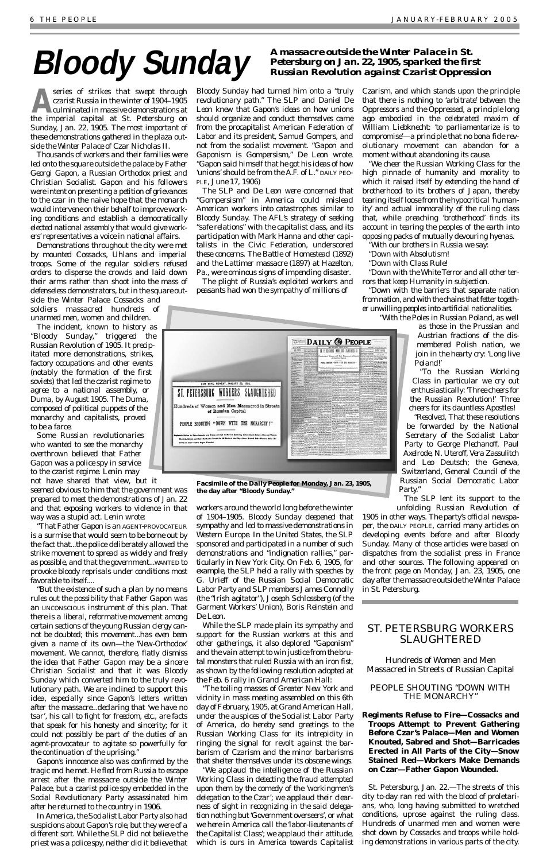*Aseries of strikes that swept through czarist Russia in the winter of 1904–1905 culminated in massive demonstrations at the imperial capital at St. Petersburg on Sunday, Jan. 22, 1905. The most important of these demonstrations gathered in the plaza outside the Winter Palace of Czar Nicholas II.* 

*Thousands of workers and their families were led onto the square outside the palace by Father Georgi Gapon, a Russian Orthodox priest and Christian Socialist. Gapon and his followers were intent on presenting a petition of grievances to the czar in the naive hope that the monarch would intervene on their behalf to improve working conditions and establish a democratically elected national assembly that would give workers' representatives a voice in national affairs.* 

*Demonstrations throughout the city were met by mounted Cossacks, Uhlans and imperial troops. Some of the regular soldiers refused orders to disperse the crowds and laid down their arms rather than shoot into the mass of defenseless demonstrators, but in the square out-*

*side the Winter Palace Cossacks and soldiers massacred hundreds of unarmed men, women and children.* 

*The incident, known to history as "Bloody Sunday," triggered the Russian Revolution of 1905. It precipitated more demonstrations, strikes, factory occupations and other events (notably the formation of the first soviets) that led the czarist regime to agree to a national assembly, or Duma, by August 1905. The Duma, composed of political puppets of the monarchy and capitalists, proved to be a farce.* 

*Some Russian revolutionaries who wanted to see the monarchy overthrown believed that Father Gapon was a police spy in service to the czarist regime. Lenin may*

*not have shared that view, but it seemed obvious to him that the government was prepared to meet the demonstrations of Jan. 22 and that exposing workers to violence in that way was a stupid act. Lenin wrote:*

*"That Father Gapon is an AGENT-PROVOCATEUR is a surmise that would seem to be borne out by the fact that...the police deliberately allowed the strike movement to spread as widely and freely as possible, and that the government...WANTED to provoke bloody reprisals under conditions most favorable to itself....*

*"But the existence of such a plan by no means rules out the possibility that Father Gapon was an UNCONSCIOUS instrument of this plan. That there is a liberal, reformative movement among certain sections of the young Russian clergy cannot be doubted; this movement...has even been given a name of its own—the 'New-Orthodox' movement. We cannot, therefore, flatly dismiss the idea that Father Gapon may be a sincere Christian Socialist and that it was Bloody Sunday which converted him to the truly revolutionary path. We are inclined to support this idea, especially since Gapon's letters written after the massacre...declaring that 'we have no tsar', his call to fight for freedom, etc., are facts that speak for his honesty and sincerity; for it could not possibly be part of the duties of an agent-provocateur to agitate so powerfully for the continuation of the uprising."* 

*Gapon's innocence also was confirmed by the tragic end he met. He fled from Russia to escape arrest after the massacre outside the Winter Palace, but a czarist police spy embedded in the Social Revolutionary Party assassinated him after he returned to the country in 1906.* 

*In America, the Socialist Labor Party also had suspicions about Gapon's role, but they were of a different sort. While the SLP did not believe the priest was a police spy, neither did it believe that* *Bloody Sunday had turned him onto a "truly revolutionary path." The SLP and Daniel De Leon knew that Gapon's ideas on how unions should organize and conduct themselves came from the procapitalist American Federation of Labor and its president, Samuel Gompers, and not from the socialist movement. "Gapon and Gaponism is Gompersism," De Leon wrote. "Gapon said himself that he got his ideas of how 'unions' should be from the A.F. of L." DAILY PEO-PLE, June 17, 1906)* 

*The SLP and De Leon were concerned that "Gompersism" in America could mislead American workers into catastrophes similar to Bloody Sunday. The AFL's strategy of seeking "safe relations" with the capitalist class, and its participation with Mark Hanna and other capitalists in the Civic Federation, underscored these concerns. The Battle of Homestead (1892) and the Lattimer massacre (1897) at Hazelton, Pa., were ominous signs of impending disaster.* 

*The plight of Russia's exploited workers and peasants had won the sympathy of millions of* 



*workers around the world long before the winter of 1904–1905. Bloody Sunday deepened that sympathy and led to massive demonstrations in Western Europe. In the United States, the SLP sponsored and participated in a number of such demonstrations and "indignation rallies," particularly in New York City. On Feb. 6, 1905, for example, the SLP held a rally with speeches by G. Urieff of the Russian Social Democratic Labor Party and SLP members James Connolly (the "Irish agitator"), Joseph Schlossberg (of the Garment Workers' Union), Boris Reinstein and De Leon.*

*While the SLP made plain its sympathy and support for the Russian workers at this and other gatherings, it also deplored "Gaponism" and the vain attempt to win justice from the brutal monsters that ruled Russia with an iron fist, as shown by the following resolution adopted at the Feb. 6 rally in Grand American Hall: "The toiling masses of Greater New York and vicinity in mass meeting assembled on this 6th day of February, 1905, at Grand American Hall, under the auspices of the Socialist Labor Party of America, do hereby send greetings to the Russian Working Class for its intrepidity in ringing the signal for revolt against the barbarism of Czarism and the minor barbarisms that shelter themselves under its obscene wings. "We applaud the intelligence of the Russian Working Class in detecting the fraud attempted upon them by the comedy of the 'workingmen's delegation to the Czar'; we applaud their clearness of sight in recognizing in the said delegation nothing but 'Government overseers', or what we here in America call the 'labor-lieutenants of the Capitalist Class'; we applaud their attitude, which is ours in America towards Capitalist*

*Czarism, and which stands upon the principle that there is nothing to 'arbitrate' between the Oppressors and the Oppressed, a principle long ago embodied in the celebrated maxim of William Liebknecht: 'to parliamentarize is to compromise'—a principle that no bona fide revolutionary movement can abandon for a moment without abandoning its cause.*

*"We cheer the Russian Working Class for the high pinnacle of humanity and morality to which it raised itself by extending the hand of brotherhood to its brothers of Japan, thereby tearing itself loose from the hypocritical 'humanity' and actual immorality of the ruling class that, while preaching 'brotherhood' finds its account in tearing the peoples of the earth into opposing packs of mutually devouring hyenas.*

*"With our brothers in Russia we say:*

*"Down with Absolutism!*

*"Down with Class Rule!*

*"Down with the White Terror and all other terrors that keep Humanity in subjection.*

*"Down with the barriers that separate nation from nation, and with the chains that fetter together unwilling peoples into artificial nationalities.*

*"With the Poles in Russian Poland, as well*

*as those in the Prussian and Austrian fractions of the dismembered Polish nation, we join in the hearty cry: 'Long live Poland!'*

*"To the Russian Working Class in particular we cry out enthusiastically: 'Three cheers for the Russian Revolution!' Three cheers for its dauntless Apostles!*

*"Resolved, That these resolutions be forwarded by the National Secretary of the Socialist Labor Party to George Plechanoff, Paul Axelrode, N. Uteroff, Vera Zassulitch and Leo Deutsch; the Geneva, Switzerland, General Council of the Russian Social Democratic Labor Party."* 

*The SLP lent its support to the unfolding Russian Revolution of*

*1905 in other ways. The party's official newspaper, the DAILY PEOPLE, carried many articles on developing events before and after Bloody Sunday. Many of those articles were based on dispatches from the socialist press in France and other sources. The following appeared on the front page on Monday, Jan. 23, 1905, one day after the massacre outside the Winter Palace in St. Petersburg.* 

# **Bloody Sunday** *A massacre outside the Winter Palace in St.*

### *Petersburg on Jan. 22, 1905, sparked the first Russian Revolution against Czarist Oppression*

#### ST. PETERSBURG WORKERS

#### SLAUGHTERED

Hundreds of Women and Men Massacred in Streets of Russian Capital

#### PEOPLE SHOUTING "DOWN WITH THE MONARCHY"

**Regiments Refuse to Fire—Cossacks and Troops Attempt to Prevent Gathering Before Czar's Palace—Men and Women Knouted, Sabred and Shot—Barricades Erected in All Parts of the City—Snow Stained Red—Workers Make Demands on Czar—Father Gapon Wounded.**

St. Petersburg, Jan. 22.—The streets of this city to-day ran red with the blood of proletarians, who, long having submitted to wretched conditions, uprose against the ruling class. Hundreds of unarmed men and women were shot down by Cossacks and troops while holding demonstrations in various parts of the city.

**Facsimile of the** *Daily People* **for Monday, Jan. 23, 1905, the day after "Bloody Sunday."**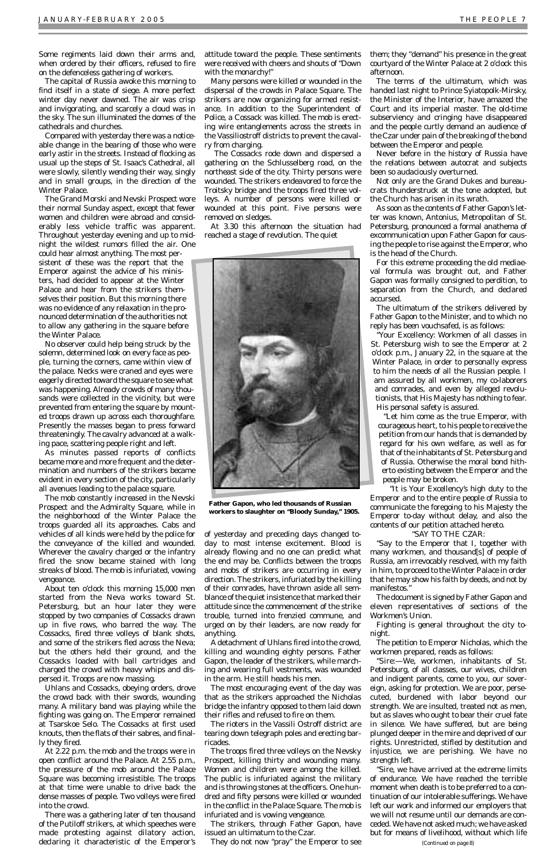Some regiments laid down their arms and, when ordered by their officers, refused to fire on the defenceless gathering of workers.

The capital of Russia awoke this morning to find itself in a state of siege. A more perfect winter day never dawned. The air was crisp and invigorating, and scarcely a cloud was in the sky. The sun illuminated the domes of the cathedrals and churches.

Compared with yesterday there was a noticeable change in the bearing of those who were early astir in the streets. Instead of flocking as usual up the steps of St. Isaac's Cathedral, all were slowly, silently wending their way, singly and in small groups, in the direction of the Winter Palace.

The Grand Morski and Nevski Prospect wore their normal Sunday aspect, except that fewer women and children were abroad and considerably less vehicle traffic was apparent. Throughout yesterday evening and up to midnight the wildest rumors filled the air. One

could hear almost anything. The most persistent of these was the report that the Emperor against the advice of his ministers, had decided to appear at the Winter Palace and hear from the strikers themselves their position. But this morning there was no evidence of any relaxation in the pronounced determination of the authorities not to allow any gathering in the square before the Winter Palace.

No observer could help being struck by the solemn, determined look on every face as people, turning the corners, came within view of the palace. Necks were craned and eyes were eagerly directed toward the square to see what was happening. Already crowds of many thousands were collected in the vicinity, but were prevented from entering the square by mounted troops drawn up across each thoroughfare. Presently the masses began to press forward threateningly. The cavalry advanced at a walking pace, scattering people right and left.

As minutes passed reports of conflicts became more and more frequent and the determination and numbers of the strikers became evident in every section of the city, particularly all avenues leading to the palace square.

The mob constantly increased in the Nevski Prospect and the Admiralty Square, while in the neighborhood of the Winter Palace the troops guarded all its approaches. Cabs and vehicles of all kinds were held by the police for the conveyance of the killed and wounded. Wherever the cavalry charged or the infantry fired the snow became stained with long streaks of blood. The mob is infuriated, vowing vengeance.

About ten o'clock this morning 15,000 men started from the Neva works toward St. Petersburg, but an hour later they were stopped by two companies of Cossacks drawn up in five rows, who barred the way. The Cossacks, fired three volleys of blank shots, and some of the strikers fled across the Neva; but the others held their ground, and the Cossacks loaded with ball cartridges and charged the crowd with heavy whips and dispersed it. Troops are now massing. Uhlans and Cossacks, obeying orders, drove the crowd back with their swords, wounding many. A military band was playing while the fighting was going on. The Emperor remained at Tsarskoe Selo. The Cossacks at first used knouts, then the flats of their sabres, and finally they fired. At 2.22 p.m. the mob and the troops were in open conflict around the Palace. At 2.55 p.m., the pressure of the mob around the Palace Square was becoming irresistible. The troops at that time were unable to drive back the dense masses of people. Two volleys were fired into the crowd.

There was a gathering later of ten thousand of the Putiloff strikers, at which speeches were made protesting against dilatory action, declaring it characteristic of the Emperor's

attitude toward the people. These sentiments were received with cheers and shouts of "Down with the monarchy!"

Many persons were killed or wounded in the dispersal of the crowds in Palace Square. The strikers are now organizing for armed resistance. In addition to the Superintendent of Police, a Cossack was killed. The mob is erecting wire entanglements across the streets in the Vassiliostroff districts to prevent the cavalry from charging.

The Cossacks rode down and dispersed a gathering on the Schlusselberg road, on the northeast side of the city. Thirty persons were wounded. The strikers endeavored to force the Troitsky bridge and the troops fired three volleys. A number of persons were killed or wounded at this point. Five persons were removed on sledges.

At 3.30 this afternoon the situation had reached a stage of revolution. The quiet

The rioters in the Vassili Ostroff district are tearing down telegraph poles and erecting barricades.

The troops fired three volleys on the Nevsky Prospect, killing thirty and wounding many. Women and children were among the killed. The public is infuriated against the military and is throwing stones at the officers. One hundred and fifty persons were killed or wounded in the conflict in the Palace Square. The mob is infuriated and is vowing vengeance.

The strikers, through Father Gapon, have issued an ultimatum to the Czar.

They do not now "pray" the Emperor to see

them; they "demand" his presence in the great courtyard of the Winter Palace at 2 o'clock this afternoon.

The terms of the ultimatum, which was handed last night to Prince Syiatopolk-Mirsky, the Minister of the Interior, have amazed the Court and its imperial master. The old-time subserviency and cringing have disappeared and the people curtly demand an audience of the Czar under pain of the breaking of the bond between the Emperor and people.

Never before in the history of Russia have the relations between autocrat and subjects been so audaciously overturned.

of yesterday and preceding days changed today to most intense excitement. Blood is already flowing and no one can predict what the end may be. Conflicts between the troops and mobs of strikers are occurring in every direction. The strikers, infuriated by the killing of their comrades, have thrown aside all semblance of the quiet insistence that marked their attitude since the commencement of the strike trouble, turned into frenzied commune, and urged on by their leaders, are now ready for anything. A detachment of Uhlans fired into the crowd, killing and wounding eighty persons. Father Gapon, the leader of the strikers, while marching and wearing full vestments, was wounded in the arm. He still heads his men. The most encouraging event of the day was that as the strikers approached the Nicholas bridge the infantry opposed to them laid down their rifles and refused to fire on them. manifestos." night.

Not only are the Grand Dukes and bureaucrats thunderstruck at the tone adopted, but the Church has arisen in its wrath.

As soon as the contents of Father Gapon's letter was known, Antonius, Metropolitan of St. Petersburg, pronounced a formal anathema of excommunication upon Father Gapon for causing the people to rise against the Emperor, who is the head of the Church.

For this extreme proceeding the old mediaeval formula was brought out, and Father Gapon was formally consigned to perdition, to separation from the Church, and declared accursed.

The ultimatum of the strikers delivered by Father Gapon to the Minister, and to which no reply has been vouchsafed, is as follows:

"Your Excellency: Workmen of all classes in St. Petersburg wish to see the Emperor at 2 o'clock p.m., January 22, in the square at the Winter Palace, in order to personally express to him the needs of all the Russian people. I am assured by all workmen, my co-laborers and comrades, and even by alleged revolutionists, that His Majesty has nothing to fear. His personal safety is assured.

"Let him come as the true Emperor, with courageous heart, to his people to receive the petition from our hands that is demanded by regard for his own welfare, as well as for that of the inhabitants of St. Petersburg and of Russia. Otherwise the moral bond hitherto existing between the Emperor and the people may be broken.

"It is Your Excellency's high duty to the Emperor and to the entire people of Russia to communicate the foregoing to his Majesty the Emperor to-day without delay, and also the contents of our petition attached hereto.

#### "SAY TO THE CZAR:

"Say to the Emperor that I, together with many workmen, and thousand[s] of people of Russia, am irrevocably resolved, with my faith in him, to proceed to the Winter Palace in order that he may show his faith by deeds, and not by

The document is signed by Father Gapon and eleven representatives of sections of the Workmen's Union.

Fighting is general throughout the city to-

The petition to Emperor Nicholas, which the workmen prepared, reads as follows:

"Sire:—We, workmen, inhabitants of St. Petersburg, of all classes, our wives, children and indigent parents, come to you, our sovereign, asking for protection. We are poor, persecuted, burdened with labor beyond our strength. We are insulted, treated not as men, but as slaves who ought to bear their cruel fate in silence. We have suffered, but are being plunged deeper in the mire and deprived of our rights. Unrestricted, stifled by destitution and injustice, we are perishing. We have no strength left.

"Sire, we have arrived at the extreme limits of endurance. We have reached the terrible moment when death is to be preferred to a continuation of our intolerable sufferings. We have left our work and informed our employers that we will not resume until our demands are conceded. We have not asked much; we have asked but for means of livelihood, without which life



**Father Gapon, who led thousands of Russian workers to slaughter on "Bloody Sunday," 1905.**

*(Continued on page 8)*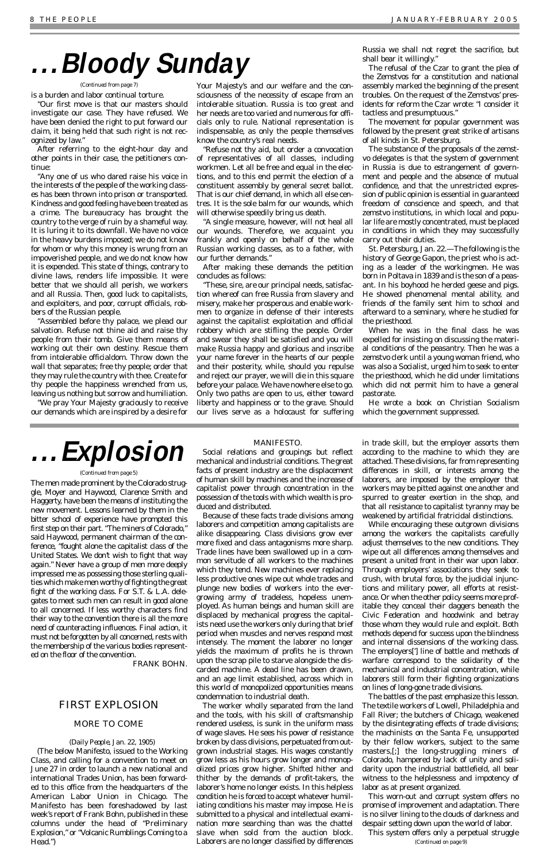is a burden and labor continual torture.

"Our first move is that our masters should investigate our case. They have refused. We have been denied the right to put forward our claim, it being held that such right is not recognized by law."

After referring to the eight-hour day and other points in their case, the petitioners continue:

"Any one of us who dared raise his voice in the interests of the people of the working classes has been thrown into prison or transported. Kindness and good feeling have been treated as a crime. The bureaucracy has brought the country to the verge of ruin by a shameful way. It is luring it to its downfall. We have no voice in the heavy burdens imposed; we do not know for whom or why this money is wrung from an impoverished people, and we do not know how it is expended. This state of things, contrary to divine laws, renders life impossible. It were better that we should all perish, we workers and all Russia. Then, good luck to capitalists, and exploiters, and poor, corrupt officials, robbers of the Russian people.

"Assembled before thy palace, we plead our salvation. Refuse not thine aid and raise thy people from their tomb. Give them means of working out their own destiny. Rescue them from intolerable officialdom. Throw down the wall that separates; free thy people; order that they may rule the country with thee. Create for thy people the happiness wrenched from us, leaving us nothing but sorrow and humiliation.

"We pray Your Majesty graciously to receive our demands which are inspired by a desire for

Your Majesty's and our welfare and the consciousness of the necessity of escape from an intolerable situation. Russia is too great and her needs are too varied and numerous for officials only to rule. National representation is indispensable, as only the people themselves know the country's real needs.

"Refuse not thy aid, but order a convocation of representatives of all classes, including workmen. Let all be free and equal in the elections, and to this end permit the election of a constituent assembly by general secret ballot. That is our chief demand, in which all else centres. It is the sole balm for our wounds, which will otherwise speedily bring us death.

"A single measure, however, will not heal all our wounds. Therefore, we acquaint you frankly and openly on behalf of the whole Russian working classes, as to a father, with our further demands."

After making these demands the petition concludes as follows:

"These, sire, are our principal needs, satisfaction whereof can free Russia from slavery and misery, make her prosperous and enable workmen to organize in defense of their interests against the capitalist exploitation and official robbery which are stifling the people. Order and swear they shall be satisfied and you will make Russia happy and glorious and inscribe your name forever in the hearts of our people and their posterity, while, should you repulse and reject our prayer, we will die in this square before your palace. We have nowhere else to go. Only two paths are open to us, either toward liberty and happiness or to the grave. Should our lives serve as a holocaust for suffering

Russia we shall not regret the sacrifice, but shall bear it willingly."

The refusal of the Czar to grant the plea of the Zemstvos for a constitution and national assembly marked the beginning of the present troubles. On the request of the Zemstvos' presidents for reform the Czar wrote: "I consider it tactless and presumptuous."

The movement for popular government was followed by the present great strike of artisans of all kinds in St. Petersburg.

The substance of the proposals of the zemstvo delegates is that the system of government in Russia is due to estrangement of government and people and the absence of mutual confidence, and that the unrestricted expression of public opinion is essential in guaranteed freedom of conscience and speech, and that zemstvo institutions, in which local and popular life are mostly concentrated, must be placed in conditions in which they may successfully carry out their duties.

St. Petersburg, Jan. 22.—The following is the history of George Gapon, the priest who is acting as a leader of the workingmen. He was born in Poltava in 1839 and is the son of a peasant. In his boyhood he herded geese and pigs. He showed phenomenal mental ability, and friends of the family sent him to school and afterward to a seminary, where he studied for the priesthood.

When he was in the final class he was expelled for insisting on discussing the material conditions of the peasantry. Then he was a zemstvo clerk until a young woman friend, who was also a Socialist, urged him to seek to enter the priesthood, which he did under limitations which did not permit him to have a general pastorate.

He wrote a book on Christian Socialism which the government suppressed.

# **. . . Bloody Sunday**

#### *(Continued from page 7)*

The men made prominent by the Colorado struggle, Moyer and Haywood, Clarence Smith and Haggerty, have been the means of instituting the new movement. Lessons learned by them in the bitter school of experience have prompted this first step on their part. "The miners of Colorado," said Haywood, permanent chairman of the conference, "fought alone the capitalist class of the United States. We don't wish to fight that way again." Never have a group of men more deeply impressed me as possessing those sterling qualities which make men worthy of fighting the great fight of the working class. For S.T. & L.A. delegates to meet such men can result in good alone to all concerned. If less worthy characters find their way to the convention there is all the more need of counteracting influences. Final action, it

must not be forgotten by all concerned, rests with the membership of the various bodies represented on the floor of the convention.

FRANK BOHN.

#### FIRST EXPLOSION

#### MORE TO COME

(*Daily People*, Jan. 22, 1905) (The below Manifesto, issued to the Working Class, and calling for a convention to meet on June 27 in order to launch a new national and international Trades Union, has been forwarded to this office from the headquarters of the American Labor Union in Chicago. The Manifesto has been foreshadowed by last week's report of Frank Bohn, published in these columns under the head of "Preliminary Explosion," or "Volcanic Rumblings Coming to a Head.")

#### MANIFESTO.

Social relations and groupings but reflect mechanical and industrial conditions. The great facts of present industry are the displacement of human skill by machines and the increase of capitalist power through concentration in the possession of the tools with which wealth is produced and distributed.

Because of these facts trade divisions among laborers and competition among capitalists are alike disappearing. Class divisions grow ever more fixed and class antagonisms more sharp. Trade lines have been swallowed up in a common servitude of all workers to the machines which they tend. New machines ever replacing less productive ones wipe out whole trades and plunge new bodies of workers into the evergrowing army of tradeless, hopeless unemployed. As human beings and human skill are displaced by mechanical progress the capitalists need use the workers only during that brief period when muscles and nerves respond most intensely. The moment the laborer no longer yields the maximum of profits he is thrown upon the scrap pile to starve alongside the discarded machine. A dead line has been drawn, and an age limit established, across which in this world of monopolized opportunities means condemnation to industrial death. The worker wholly separated from the land and the tools, with his skill of craftsmanship rendered useless, is sunk in the uniform mass of wage slaves. He sees his power of resistance broken by class divisions, perpetuated from outgrown industrial stages. His wages constantly grow less as his hours grow longer and monopolized prices grow higher. Shifted hither and thither by the demands of profit-takers, the laborer's home no longer exists. In this helpless condition he is forced to accept whatever humiliating conditions his master may impose. He is submitted to a physical and intellectual examination more searching than was the chattel slave when sold from the auction block. Laborers are no longer classified by differences

in trade skill, but the employer assorts them according to the machine to which they are attached. These divisions, far from representing differences in skill, or interests among the laborers, are imposed by the employer that workers may be pitted against one another and spurred to greater exertion in the shop, and that all resistance to capitalist tyranny may be weakened by artificial fratricidal distinctions.

While encouraging these outgrown divisions among the workers the capitalists carefully adjust themselves to the new conditions. They wipe out all differences among themselves and present a united front in their war upon labor. Through employers' associations they seek to crush, with brutal force, by the judicial injunctions and military power, all efforts at resistance. Or when the other policy seems more profitable they conceal their daggers beneath the Civic Federation and hoodwink and betray those whom they would rule and exploit. Both methods depend for success upon the blindness and internal dissensions of the working class. The employers['] line of battle and methods of warfare correspond to the solidarity of the mechanical and industrial concentration, while laborers still form their fighting organizations on lines of long-gone trade divisions. The battles of the past emphasize this lesson. The textile workers of Lowell, Philadelphia and Fall River; the butchers of Chicago, weakened by the disintegrating effects of trade divisions; the machinists on the Santa Fe, unsupported by their fellow workers, subject to the same masters,[;] the long-struggling miners of Colorado, hampered by lack of unity and solidarity upon the industrial battlefield, all bear witness to the helplessness and impotency of labor as at present organized. This worn-out and corrupt system offers no promise of improvement and adaptation. There is no silver lining to the clouds of darkness and despair setting down upon the world of labor. This system offers only a perpetual struggle

# **. . . Explosion**

#### *(Continued from page 5)*

*(Continued on page 9)*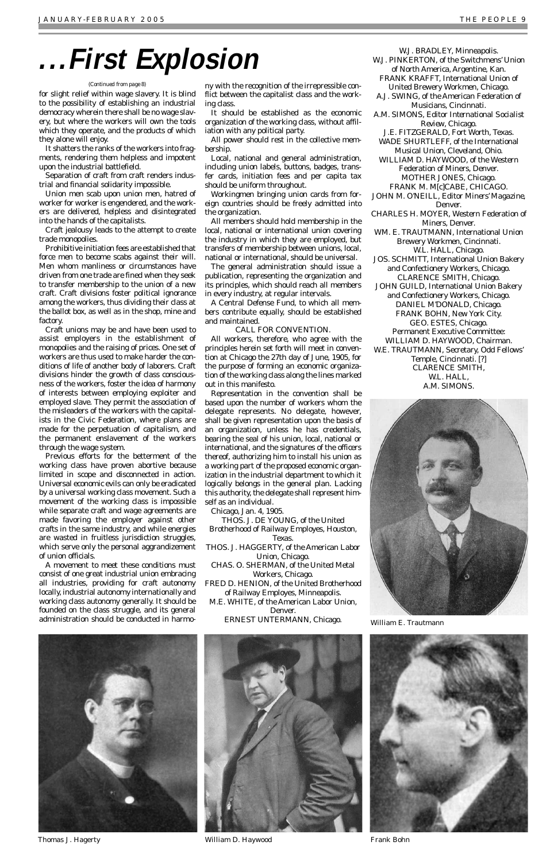for slight relief within wage slavery. It is blind to the possibility of establishing an industrial democracy wherein there shall be no wage slavery, but where the workers will own the tools which they operate, and the products of which they alone will enjoy.

It shatters the ranks of the workers into fragments, rendering them helpless and impotent upon the industrial battlefield.

Separation of craft from craft renders industrial and financial solidarity impossible.

Union men scab upon union men, hatred of worker for worker is engendered, and the workers are delivered, helpless and disintegrated into the hands of the capitalists.

Craft jealousy leads to the attempt to create trade monopolies.

Prohibitive initiation fees are established that force men to become scabs against their will. Men whom manliness or circumstances have driven from one trade are fined when they seek to transfer membership to the union of a new craft. Craft divisions foster political ignorance among the workers, thus dividing their class at the ballot box, as well as in the shop, mine and factory.

Craft unions may be and have been used to assist employers in the establishment of monopolies and the raising of prices. One set of workers are thus used to make harder the conditions of life of another body of laborers. Craft divisions hinder the growth of class consciousness of the workers, foster the idea of harmony of interests between employing exploiter and employed slave. They permit the association of the misleaders of the workers with the capitalists in the Civic Federation, where plans are made for the perpetuation of capitalism, and the permanent enslavement of the workers through the wage system.

Previous efforts for the betterment of the working class have proven abortive because limited in scope and disconnected in action. Universal economic evils can only be eradicated by a universal working class movement. Such a movement of the working class is impossible while separate craft and wage agreements are made favoring the employer against other crafts in the same industry, and while energies are wasted in fruitless jurisdiction struggles, which serve only the personal aggrandizement of union officials.

A movement to meet these conditions must consist of one great industrial union embracing all industries, providing for craft autonomy locally, industrial autonomy internationally and working class autonomy generally. It should be founded on the class struggle, and its general administration should be conducted in harmo-

M.E. WHITE, of the American Labor Union, **Denver** 

ny with the recognition of the irrepressible conflict between the capitalist class and the working class.

It should be established as the economic organization of the working class, without affiliation with any political party.

All power should rest in the collective membership.

Local, national and general administration, including union labels, buttons, badges, transfer cards, initiation fees and per capita tax should be uniform throughout.

Workingmen bringing union cards from foreign countries should be freely admitted into the organization.

All members should hold membership in the local, national or international union covering the industry in which they are employed, but transfers of membership between unions, local, national or international, should be universal.

The general administration should issue a publication, representing the organization and its principles, which should reach all members in every industry, at regular intervals.

A Central Defense Fund, to which all members contribute equally, should be established and maintained.

#### CALL FOR CONVENTION.

All workers, therefore, who agree with the principles herein set forth will meet in convention at Chicago the 27th day of June, 1905, for the purpose of forming an economic organization of the working class along the lines marked out in this manifesto.

Representation in the convention shall be based upon the number of workers whom the delegate represents. No delegate, however, shall be given representation upon the basis of an organization, unless he has credentials, bearing the seal of his union, local, national or international, and the signatures of the officers thereof, authorizing him to install his union as a working part of the proposed economic organization in the industrial department to which it logically belongs in the general plan. Lacking this authority, the delegate shall represent himself as an individual.

Chicago, Jan. 4, 1905.

THOS. J. DE YOUNG, of the United Brotherhood of Railway Employes, Houston, Texas.

- THOS. J. HAGGERTY, of the American Labor Union, Chicago.
- CHAS. O. SHERMAN, of the United Metal Workers, Chicago.

FRED D. HENION, of the United Brotherhood of Railway Employes, Minneapolis.

ERNEST UNTERMANN, Chicago.

W.J. BRADLEY, Minneapolis.

- W.J. PINKERTON, of the Switchmens' Union of North America, Argentine, Kan.
	- FRANK KRAFFT, International Union of United Brewery Workmen, Chicago.
- A.J. SWING, of the American Federation of Musicians, Cincinnati.
- A.M. SIMONS, Editor *International Socialist Review*, Chicago.

J.E. FITZGERALD, Fort Worth, Texas. WADE SHURTLEFF, of the International

Musical Union, Cleveland, Ohio.

WILLIAM D. HAYWOOD, of the Western Federation of Miners, Denver. MOTHER JONES, Chicago. FRANK M. M[c]CABE, CHICAGO.

- JOHN M. O'NEILL, Editor *Miners' Magazine*, Denver.
- CHARLES H. MOYER, Western Federation of Miners, Denver.

WM. E. TRAUTMANN, International Union Brewery Workmen, Cincinnati. W.L. HALL, Chicago.

JOS. SCHMITT, International Union Bakery and Confectionery Workers, Chicago. CLARENCE SMITH, Chicago.

JOHN GUILD, International Union Bakery and Confectionery Workers, Chicago. DANIEL M'DONALD, Chicago. FRANK BOHN, New York City. GEO. ESTES, Chicago. Permanent Executive Committee: WILLIAM D. HAYWOOD, Chairman. W.E. TRAUTMANN, Secretary, Odd Fellows'

Temple, Cincinnati. [?] CLARENCE SMITH, W.L. HALL, A.M. SIMONS.

# **. . . First Explosion**

#### *(Continued from page 8)*

Thomas J. Hagerty Frank Bohn William D. Haywood



William E. Trautmann





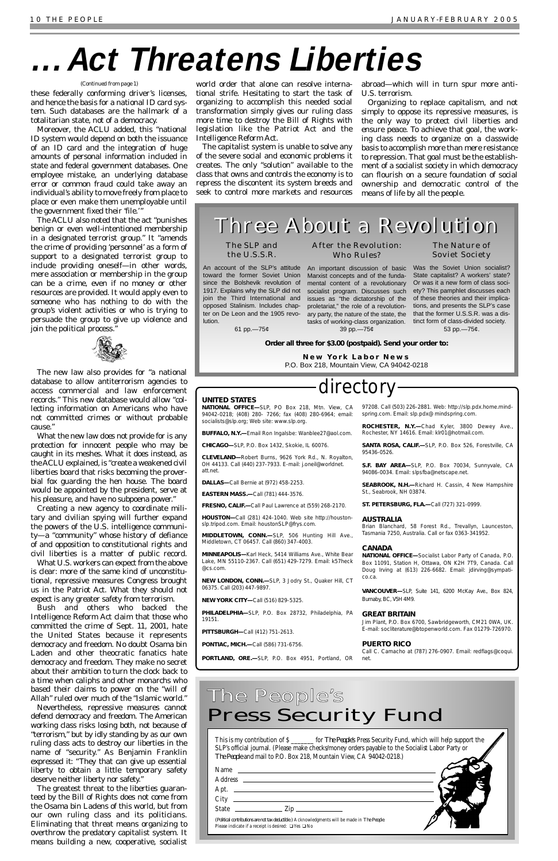these federally conforming driver's licenses, and hence the basis for a national ID card system. Such databases are the hallmark of a totalitarian state, not of a democracy.

Moreover, the ACLU added, this "national ID system would depend on both the issuance of an ID card and the integration of huge amounts of personal information included in state and federal government databases. One employee mistake, an underlying database error or common fraud could take away an individual's ability to move freely from place to place or even make them unemployable until the government fixed their 'file.'"

The ACLU also noted that the act "punishes benign or even well-intentioned membership in a designated terrorist group." It "amends the crime of providing 'personnel' as a form of support to a designated terrorist group to include providing oneself—in other words, mere association or membership in the group can be a crime, even if no money or other resources are provided. It would apply even to someone who has nothing to do with the group's violent activities or who is trying to persuade the group to give up violence and join the political process."



The new law also provides for "a national database to allow antiterrorism agencies to access commercial and law enforcement records." This new database would allow "collecting information on Americans who have not committed crimes or without probable cause."

What the new law *does not* provide for is any protection for innocent people who may be caught in its meshes. What it does instead, as the ACLU explained, is "create a weakened civil liberties board that risks becoming the proverbial fox guarding the hen house. The board would be appointed by the president, serve at his pleasure, and have no subpoena power."

Creating a new agency to coordinate military and civilian spying will further expand the powers of the U.S. intelligence community—a "community" whose history of defiance of and opposition to constitutional rights and civil liberties is a matter of public record.

What U.S. workers can expect from the above is clear: more of the same kind of unconstitutional, repressive measures Congress brought us in the Patriot Act. What they should *not* expect is any greater safety from terrorism.

An account of the SLP's attitude An important discussion of basic Was the Soviet Union socialist? toward the former Soviet Union since the Bolshevik revolution of 1917. Explains why the SLP did not join the Third International and opposed Stalinism. Includes chap-proletariat," the role of a revolutionter on De Leon and the 1905 revo-ary party, the nature of the state, the lution.

Bush and others who backed the Intelligence Reform Act claim that those who committed the crime of Sept. 11, 2001, hate the United States because it represents democracy and freedom. No doubt Osama bin Laden and other theocratic fanatics hate democracy and freedom. They make no secret about their ambition to turn the clock back to a time when caliphs and other monarchs who based their claims to power on the "will of Allah" ruled over much of the "Islamic world." Nevertheless, repressive measures cannot defend democracy and freedom. The American working class risks losing both, not because of "terrorism," but by idly standing by as our own ruling class acts to destroy our liberties in the name of "security." As Benjamin Franklin expressed it: "They that can give up essential liberty to obtain a little temporary safety deserve neither liberty nor safety." The greatest threat to the liberties guaranteed by the Bill of Rights does not come from the Osama bin Ladens of this world, but from our own ruling class and its politicians. Eliminating that threat means organizing to overthrow the predatory capitalist system. It means building a new, cooperative, socialist

world order that alone can resolve international strife. Hesitating to start the task of organizing to accomplish this needed social transformation simply gives our ruling class more time to destroy the Bill of Rights with legislation like the Patriot Act and the Intelligence Reform Act.

The capitalist system is unable to solve any of the severe social and economic problems it creates. The only "solution" available to the class that owns and controls the economy is to repress the discontent its system breeds and seek to control more markets and resources

abroad—which will in turn spur more anti-U.S. terrorism.

Organizing to replace capitalism, and not simply to oppose its repressive measures, is the only way to protect civil liberties and ensure peace. To achieve that goal, the working class needs to organize on a classwide basis to accomplish more than mere resistance to repression. That goal must be the establishment of a socialist society in which democracy can flourish on a secure foundation of social ownership and democratic control of the means of life by all the people.

The SLP and the U.S.S.R.

61 pp.—75¢

#### After the Revolution: Who Rules?

Marxist concepts and of the fundamental content of a revolutionary socialist program. Discusses such issues as "the dictatorship of the tasks of working-class organization. tinct form of class-divided society. 39 pp.—75¢

#### The Nature of Soviet Society

State capitalist? A workers' state? Or was it a new form of class society? This pamphlet discusses each of these theories and their implications, and presents the SLP's case that the former U.S.S.R. was a dis-53 pp.—75¢.

**Order all three for \$3.00 (postpaid). Send your order to:**

#### **New York Labor News**

P.O. Box 218, Mountain View, CA 94042-0218

# **DIRECTORY UNITED STATES**

**NATIONAL OFFICE—**SLP, PO Box 218, Mtn. View, CA 94042-0218; (408) 280- 7266; fax (408) 280-6964; email: socialists@slp.org; Web site: www.slp.org.

**BUFFALO, N.Y.—**Email Ron Ingalsbe: Wanblee27@aol.com.

**CHICAGO—**SLP, P.O. Box 1432, Skokie, IL 60076.

**CLEVELAND—**Robert Burns, 9626 York Rd., N. Royalton, OH 44133. Call (440) 237-7933. E-mail: j.oneil@worldnet. att.net.

**DALLAS—**Call Bernie at (972) 458-2253.

**EASTERN MASS.—**Call (781) 444-3576.

**FRESNO, CALIF.—**Call Paul Lawrence at (559) 268-2170.

**HOUSTON—**Call (281) 424-1040. Web site http://houstonslp.tripod.com. Email: houstonSLP@frys.com.

**MIDDLETOWN, CONN.—**SLP, 506 Hunting Hill Ave., Middletown, CT 06457. Call (860) 347-4003.

**MINNEAPOLIS—**Karl Heck, 5414 Williams Ave., White Bear Lake, MN 55110-2367. Call (651) 429-7279. Email: k57heck @cs.com.

**NEW LONDON, CONN.—**SLP, 3 Jodry St., Quaker Hill, CT 06375. Call (203) 447-9897.

**NEW YORK CITY—**Call (516) 829-5325.

**PHILADELPHIA—**SLP, P.O. Box 28732, Philadelphia, PA 19151.

**SBURGH--Call (412) 751-2613.** 

**PONTIAC, MICH.—**Call (586) 731-6756.

97208. Call (503) 226-2881. Web: http://slp.pdx.home.mindspring.com. Email: slp.pdx@ mindspring.com.

**ROCHESTER, N.Y.—**Chad Kyler, 3800 Dewey Ave., Rochester, NY 14616. Email: klr01@hotmail.com.

**SANTA ROSA, CALIF.—**SLP, P.O. Box 526, Forestville, CA 95436-0526.

## *Three About a Revolution Three About a Revolution*

**S.F. BAY AREA—**SLP, P.O. Box 70034, Sunnyvale, CA 94086-0034. Email: slpsfba@netscape.net.

**SEABROOK, N.H.—**Richard H. Cassin, 4 New Hampshire St., Seabrook, NH 03874.

**ST. PETERSBURG, FLA.—**Call (727) 321-0999.

#### **AUSTRALIA**

**PORTLAND, ORE.—**SLP, P.O. Box 4951, Portland, OR net.

Brian Blanchard, 58 Forest Rd., Trevallyn, Launceston, Tasmania 7250, Australia. Call or fax 0363-341952.

#### **CANADA**

**NATIONAL OFFICE—**Socialist Labor Party of Canada, P.O. Box 11091, Station H, Ottawa, ON K2H 7T9, Canada. Call Doug Irving at (613) 226-6682. Email: jdirving@sympatico.ca.

**VANCOUVER—**SLP, Suite 141, 6200 McKay Ave., Box 824, Burnaby, BC, V5H 4M9.

#### **GREAT BRITAIN**

Jim Plant, P.O. Box 6700, Sawbridgeworth, CM21 0WA, UK. E-mail: socliterature@btopenworld.com. Fax 01279-726970.

#### **PUERTO RICO**

Call C. Camacho at (787) 276-0907. Email: redflags@coqui.

# **. . .Act Threatens Liberties**

#### *(Continued from page 1)*

This is my contribution of \$ \_\_\_\_\_\_\_ for *The People*'s Press Security Fund, which will help support the SLP's official journal. (Please make checks/money orders payable to the Socialist Labor Party or *The People* and mail to P.O. Box 218, Mountain View, CA 94042-0218.)

| Name                                                                                                                                                           |  |
|----------------------------------------------------------------------------------------------------------------------------------------------------------------|--|
| <b>Address</b><br>the contract of the contract of the contract of the contract of the contract of                                                              |  |
| Apt.                                                                                                                                                           |  |
| City                                                                                                                                                           |  |
| State<br><u> 1999 - Jan Barnett, p</u>                                                                                                                         |  |
| (Political contributions are not tax deductible.) Acknowledgments will be made in The People.<br>Please indicate if a receipt is desired: $\Box$ Yes $\Box$ No |  |

## The People's Press Security Fund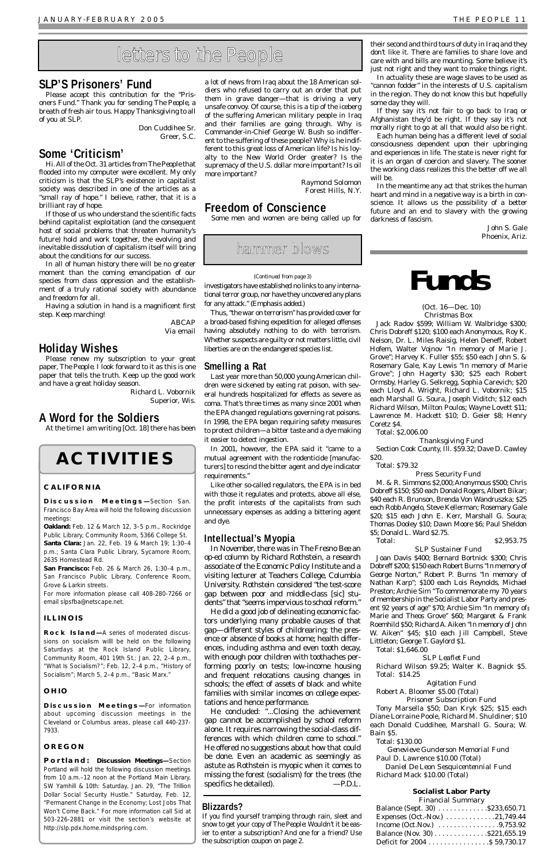## **ACTIVITIES**

#### **CALIFORNIA**

**Discussion Meetings—**Section San. Francisco Bay Area will hold the following discussion meetings:

**Oakland:** Feb. 12 & March 12, 3–5 p.m., Rockridge Public Library, Community Room, 5366 College St. **Santa Clara:** Jan. 22, Feb. 19 & March 19; 1:30–4 p.m.; Santa Clara Public Library, Sycamore Room, 2635 Homestead Rd.

**San Francisco:** Feb. 26 & March 26, 1:30–4 p.m., San Francisco Public Library, Conference Room, Grove & Larkin streets.

For more information please call 408-280-7266 or email slpsfba@netscape.net.

#### **ILLINOIS**

**Rock Island—**A series of moderated discus-

sions on socialism willl be held on the following Saturdays at the Rock Island Public Library, Community Room, 401 19th St.: Jan. 22, 2–4 p.m., "What Is Socialism?"; Feb. 12, 2–4 p.m., "History of Socialism"; March 5, 2–4 p.m., "Basic Marx."

#### **OHIO**

**Discussion Meetings—**For information about upcoming discussion meetings in the Cleveland or Columbus areas, please call 440-237- 7933.

#### **OREGON**

**Portland: Discussion Meetings—**Section Portland will hold the following discussion meetings from 10 a.m.–12 noon at the Portland Main Library, SW Yamhill & 10th: Saturday, Jan. 29, "The Trillion Dollar Social Security Hustle." Saturday, Feb. 12, "Permanent Change in the Economy; Lost Jobs That Won't Come Back." For more information call Sid at 503-226-2881 or visit the section's website at http://slp.pdx.home.mindspring.com.

#### **SLP'S Prisoners' Fund**

Please accept this contribution for the "Prisoners Fund." Thank you for sending *The People*, a breath of fresh air to us. Happy Thanksgiving to all of you at SLP.

Don Cuddihee Sr. Greer, S.C.

#### **Some 'Criticism'**

Hi. All of the Oct. 31 articles from *The People* that flooded into my computer were excellent. My only criticism is that the SLP's existence in capitalist society was described in one of the articles as a "small ray of hope." I believe, rather, that it is a *brilliant* ray of hope.

If those of us who understand the scientific facts behind capitalist exploitation (and the consequent host of social problems that threaten humanity's future) hold and work together, the evolving and inevitable dissolution of capitalism itself will bring about the conditions for our success.

In all of human history there will be no greater moment than the coming emancipation of our species from class oppression and the establishment of a truly rational society with abundance and freedom for all.

Having a solution in hand is a magnificent first step. Keep marching!

> ABCAP Via email

#### **Holiday Wishes**

Please renew my subscription to your great paper, *The People*. I look forward to it as this is one paper that tells the truth. Keep up the good work and have a great holiday season.

Richard L. Vobornik Superior, Wis.

### **A Word for the Soldiers**

At the time I am writing [Oct. 18] there has been

a lot of news from Iraq about the 18 American soldiers who refused to carry out an order that put them in grave danger—that is driving a very unsafe convoy. Of course, this is a tip of the iceberg of the suffering American military people in Iraq and their families are going through. Why is Commander-in-Chief George W. Bush so indifferent to the suffering of these people? Why is he indifferent to this great loss of American life? Is his loyalty to the New World Order greater? Is the supremacy of the U.S. dollar more important? Is oil more important?

> Raymond Solomon Forest Hills, N.Y.

#### **Freedom of Conscience**

Some men and women are being called up for

their second and third tours of duty in Iraq and they don't like it. There are families to share love and care with and bills are mounting. Some believe it's just not right and they want to make things right.

In actuality these are wage slaves to be used as "cannon fodder" in the interests of U.S. capitalism in the region. They do not know this but hopefully some day they will.

If they say it's not fair to go back to Iraq or Afghanistan they'd be right. If they say it's not morally right to go at all that would also be right.

Each human being has a different level of social consciousness dependent upon their upbringing and experiences in life. The state is never right for it is an organ of coercion and slavery. The sooner the working class realizes this the better off we all will be.

He did a good job of delineating economic factors underlying many probable causes of that gap—different styles of childrearing; the presence or absence of books at home; health differences, including asthma and even tooth decay, with enough poor children with toothaches performing poorly on tests; low-income housing and frequent relocations causing changes in schools; the effect of assets of black and white families with similar incomes on college expectations and hence performance. He concluded: "...Closing the achievement gap cannot be accomplished by school reform alone. It requires narrowing the social-class differences with which children come to school." He offered no suggestions about how that could be done. Even an academic as seemingly as astute as Rothstein is myopic when it comes to missing the forest (socialism) for the trees (the specifics he detailed). *—P.D.L.* 

In the meantime any act that strikes the human heart and mind in a negative way is a birth in conscience. It allows us the possibility of a better future and an end to slavery with the growing darkness of fascism.

> John S. Gale Phoenix, Ariz.

#### (Oct. 16—Dec. 10)

*Christmas Box*

Jack Radov \$599; William W. Walbridge \$300; Chris Dobreff \$120; \$100 each Anonymous, Roy K. Nelson, Dr. L. Miles Raisig, Helen Deneff, Robert Hofem, Walter Vojnov "In memory of Marie J. Grove"; Harvey K. Fuller \$55; \$50 each John S. & Rosemary Gale, Kay Lewis "In memory of Marie Grove"; John Hagerty \$30; \$25 each Robert Ormsby, Harley G. Selkregg, Sophia Carevich; \$20 each Lloyd A. Wright, Richard L. Vobornik; \$15 each Marshall G. Soura, Joseph Viditch; \$12 each Richard Wilson, Milton Poulos; Wayne Lovett \$11; Lawrence M. Hackett \$10; D. Geier \$8; Henry Coretz \$4.

Total: \$2,006.00

#### *Thanksgiving Fund*

Section Cook County, Ill. \$59.32; Dave D. Cawley \$20.

Total: \$79.32

#### *Press Security Fund*

M. & R. Simmons \$2,000; Anonymous \$500; Chris Dobreff \$150; \$50 each Donald Rogers, Albert Bikar; \$40 each R. Brunson, Brenda Von Wandruszka; \$25 each Robb Angelo, Steve Kellerman; Rosemary Gale \$20; \$15 each John E. Kerr, Marshall G. Soura; Thomas Dooley \$10; Dawn Moore \$6; Paul Sheldon \$5; Donald L. Ward \$2.75.

Total:  $$2,953.75$ 

#### *SLP Sustainer Fund*

Joan Davis \$400; Bernard Bortnick \$300; Chris Dobreff \$200; \$150 each Robert Burns "In memory of George Norton," Robert P. Burns "In memory of Nathan Karp"; \$100 each Lois Reynolds, Michael Preston; Archie Sim "To commemorate my 70 years of membership in the Socialist Labor Party and present 92 years of age" \$70; Archie Sim "In memory of Marie and Theos Grove" \$60; Margaret & Frank Roemhild \$50; Richard A. Aiken "In memory of John W. Aiken" \$45; \$10 each Jill Campbell, Steve Littleton; George T. Gaylord \$1.

Total: \$1,646.00

#### *SLP Leaflet Fund*

Richard Wilson \$9.25; Walter K. Bagnick \$5. Total: \$14.25

#### *Agitation Fund*

Robert A. Bloomer \$5.00 (Total)

#### *Prisoner Subscription Fund*

Tony Marsella \$50; Dan Kryk \$25; \$15 each Diane Lorraine Poole, Richard M. Shuldiner; \$10 each Donald Cuddihee, Marshall G. Soura; W. Bain \$5.

#### Total: \$130.00

*Genevieve Gunderson Memorial Fund* Paul D. Lawrence \$10.00 (Total)

*Daniel De Leon Sesquicentennial Fund* Richard Mack \$10.00 (Total)

#### **Socialist Labor Party**

*Financial Summary*

| Expenses (Oct.-Nov.) $\dots \dots \dots \dots \dots 21,749.44$ |  |
|----------------------------------------------------------------|--|
|                                                                |  |
|                                                                |  |
|                                                                |  |

investigators have established *no* links to any international terror group, nor have they uncovered *any* plans for *any* attack." (Emphasis added.)

Thus, "the war on terrorism" has provided cover for a broad-based fishing expedition for alleged offenses having absolutely nothing to do with terrorism. Whether suspects are guilty or not matters little, civil liberties are on the endangered species list.

#### **Smelling a Rat**

Last year more than 50,000 young American children were sickened by eating rat poison, with several hundreds hospitalized for effects as severe as coma. That's three times as many since 2001 when the EPA changed regulations governing rat poisons. In 1998, the EPA began requiring safety measures to protect children—a bitter taste and a dye making it easier to detect ingestion.

In 2001, however, the EPA said it "came to a mutual agreement with the rodenticide [manufacturers] to rescind the bitter agent and dye indicator requirements."

Like other so-called regulators, the EPA is in bed with those it regulates and protects, above all else, the profit interests of the capitalists from such unnecessary expenses as adding a bittering agent and dye.

#### **Intellectual's Myopia**

In November, there was in *The Fresno Bee* an op-ed column by Richard Rothstein, a research associate of the Economic Policy Institute and a visiting lecturer at Teachers College, Columbia University. Rothstein considered "the test-score gap between poor and middle-class [sic] students" that "seems impervious to school reform."

# **Funds**

## letters to the People

### hammer blows

#### **Blizzards?**

If you find yourself tramping through rain, sleet and snow to get your copy of *The People*: Wouldn't it be easier to enter a subscription? And one for a friend? Use the subscription coupon on page 2.

*(Continued from page 3)*